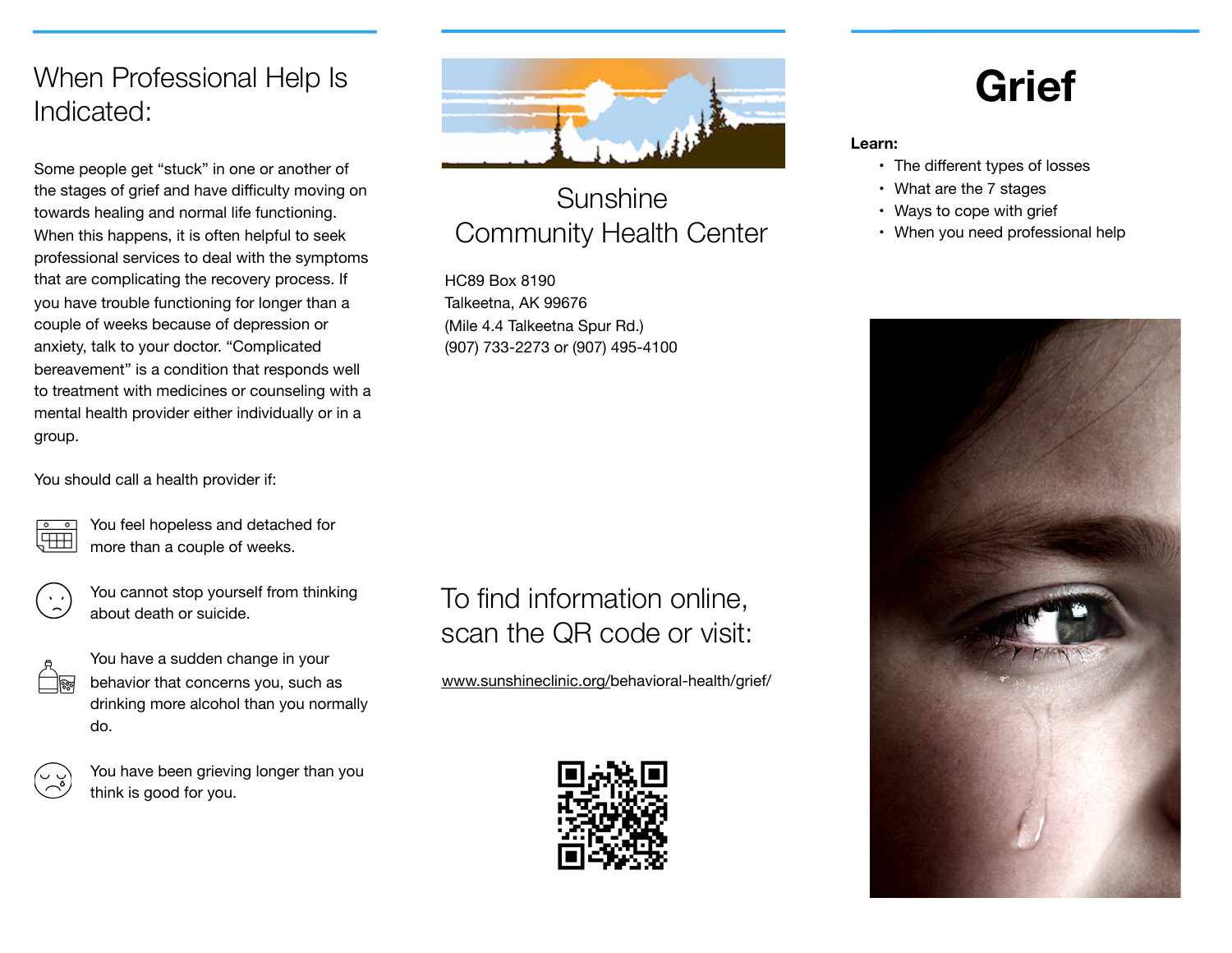## When Professional Help Is Indicated:

Some people get "stuck" in one or another of the stages of grief and have difficulty moving on towards healing and normal life functioning. When this happens, it is often helpful to seek professional services to deal with the symptoms that are complicating the recovery process. If you have trouble functioning for longer than a couple of weeks because of depression or anxiety, talk to your doctor. "Complicated bereavement" is a condition that responds well to treatment with medicines or counseling with a mental health provider either individually or in a group.

You should call a health provider if:



You feel hopeless and detached for more than a couple of weeks.



You cannot stop yourself from thinking about death or suicide.



You have a sudden change in your behavior that concerns you, such as drinking more alcohol than you normally do.



You have been grieving longer than you think is good for you.



# Sunshine Community Health Center

HC89 Box 8190 Talkeetna, AK 99676 (Mile 4.4 Talkeetna Spur Rd.) (907) 733-2273 or (907) 495-4100

# To find information online, scan the QR code or visit:

[www.sunshineclinic.org/](http://www.sunshineclinic.org/)behavioral-health/grief/



# **Grief**

**Learn:** 

- The different types of losses
- What are the 7 stages
- Ways to cope with grief
- When you need professional help